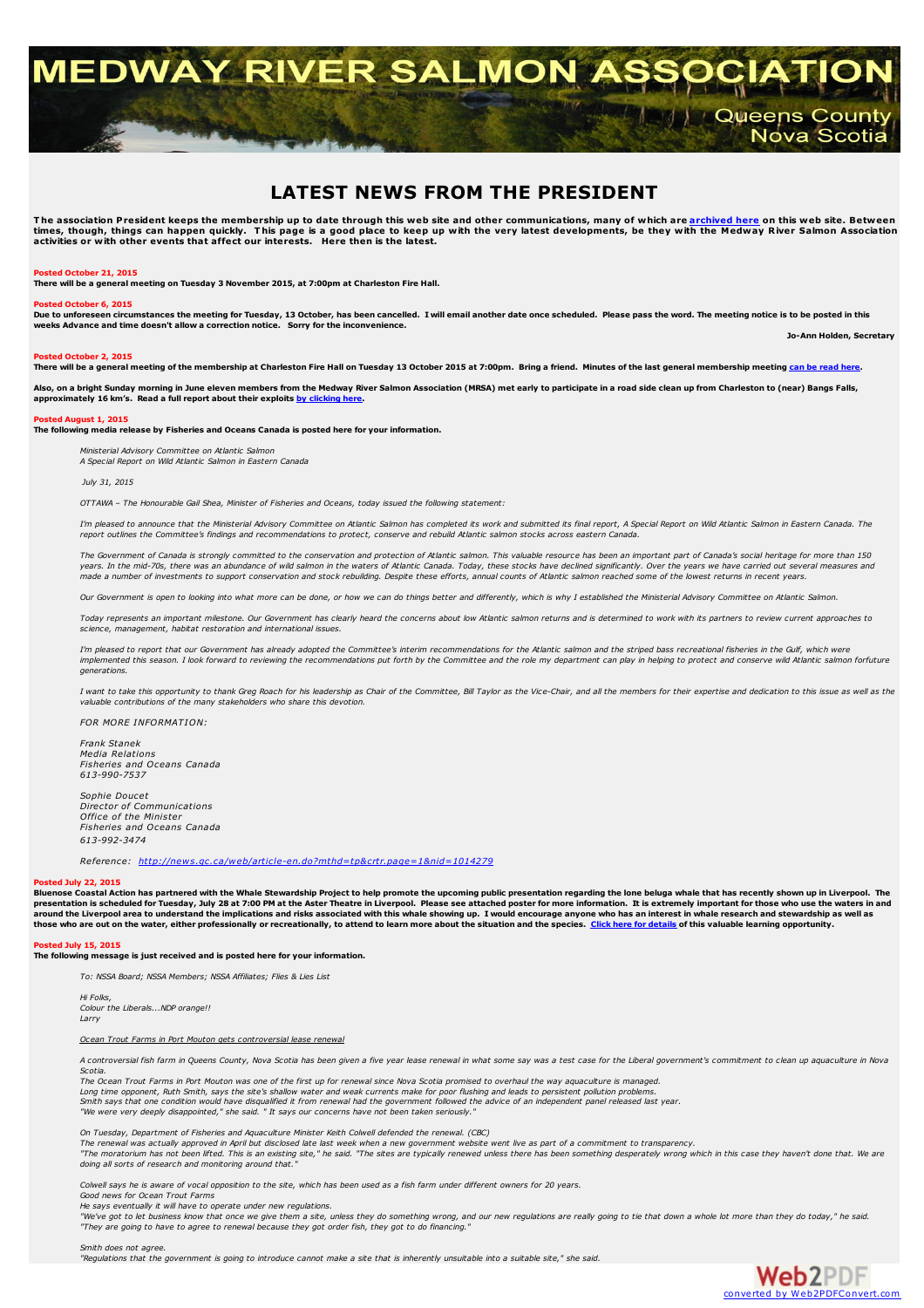# **MEDWAY RIVER SALMON ASSOCIATIO AMERICA Queens County** Nova Scotia

## **LATEST NEWS FROM THE PRESIDENT**

The association President keeps the membership up to date through this web site and other communications, many of which are <mark>[archived](../archives/archives.html) here</mark> on this web site. Between<br>times, though, things can happen quickly. This page is a

#### **Posted October 21, 2015**

**There will be a general meeting on Tuesday 3 November 2015, at 7:00pm at Charleston Fire Hall.**

#### **Posted October 6, 2015**

Due to unforeseen circumstances the meeting for Tuesday, 13 October, has been cancelled. I will email another date once scheduled. Please pass the word. The meeting notice is to be posted in this **weeks Advance and time doesn't allow a correction notice. Sorry for the inconvenience. Jo-Ann Holden, Secretary**

#### **Posted October 2, 2015**

There will be a general meeting of the membership at Charleston Fire Hall on Tuesday 13 October 2015 at 7:00pm. Bring a friend. Minutes of the last general membership meeting can be [read](../membership/mrsa_minutes 26 May 2015.pdf) here.

.<br>Also, on a bright Sunday morning in June eleven members from the Medway River Salmon Association (MRSA) met early to participate in a road side clean up from Charleston to (near) Bangs Falls, **approximately 16 km's. Read a full report about their exploits by [clicking](../projects/mrsa_cleanup2015.pdf) here.**

#### **Posted August 1, 2015**

**The following media release by Fisheries and Oceans Canada is posted here for your information.**

*Ministerial Advisory Committee on Atlantic Salmon*

*A Special Report on Wild Atlantic Salmon in Eastern Canada*

*July 31, 2015*

*OTTAWA – The Honourable Gail Shea, Minister of Fisheries and Oceans, today issued the following statement:*

I'm pleased to announce that the Ministerial Advisory Committee on Atlantic Salmon has completed its work and submitted its final report. A Special Report on Wild Atlantic Salmon in Eastern Canada. The report outlines the Committee's findings and recommendations to protect, conserve and rebuild Atlantic salmon stocks across eastern Canada

The Government of Canada is strongly committed to the conservation and protection of Atlantic salmon. This valuable resource has been an important part of Canada's social heritage for more than 150 years. In the mid-70s, there was an abundance of wild salmon in the waters of Atlantic Canada. Today, these stocks have declined significantly. Over the years we have carried out several measures and<br>made a number of inves

Our Government is open to looking into what more can be done, or how we can do things better and differently, which is why I established the Ministerial Advisory Committee on Atlantic Salmon.

Today represents an important milestone. Our Government has clearly heard the concerns about low Atlantic salmon returns and is determined to work with its partners to review current approaches to *science, management, habitat restoration and international issues.*

I'm pleased to report that our Government has already adopted the Committee's interim recommendations for the Atlantic salmon and the striped bass recreational fisheries in the Gulf, which were implemented this season. I look forward to reviewing the recommendations put forth by the Committee and the role my department can play in helping to protect and conserve wild Atlantic salmon forfuture *generations.*

I want to take this opportunity to thank Greg Roach for his leadership as Chair of the Committee. Bill Taylor as the Vice-Chair, and all the members for their expertise and dedication to this issue as well as the *valuable contributions of the many stakeholders who share this devotion.*

*FOR MORE INFORMATION:*

*Frank Stanek Media Relations Fisheries and Oceans Canada 613-990-7537*

*Sophie Doucet Director of Communications Office of the Minister Fisheries and Oceans Canada 613-992-3474*

*Reference: <http://news.gc.ca/web/article-en.do?mthd=tp&crtr.page=1&nid=1014279>*

#### **Posted July 22, 2015**

Bluenose Coastal Action has partnered with the Whale Stewardship Project to help promote the upcoming public presentation regarding the lone beluga whale that has recently shown up in Liverpool. The<br>presentation is schedul around the Liverpool area to understand the implications and risks associated with this whale showing up. I would encourage anyone who has an interest in whale research and stewardship as well as<br>those who are out on the w

#### **Posted July 15, 2015 The following message is just received and is posted here for your information.**

*To: NSSA Board; NSSA Members; NSSA Affiliates; Flies & Lies List*

*Hi Folks, Colour the Liberals...NDP orange!! Larry*

*Ocean Trout Farms in Port Mouton gets controversial lease renewal*

A controversial fish farm in Queens County, Nova Scotia has been given a five year lease renewal in what some say was a test case for the Liberal government's commitment to clean up aquaculture in Nova *Scotia.*

The Ocean Trout Farms in Port Mouton was one of the first up for renewal since Nova Scotia promised to overhaul the way aquaculture is managed. Long time opponent. Ruth Smith, says the site's shallow water and weak currents make for poor flushing and leads to persistent pollution problems Smith says that one condition would have disqualified it from renewal had the government followed the advice of an independent panel released last year.<br>"We were very deeply disappointed," she said. " It says our concerns

*On Tuesday, Department of Fisheries and Aquaculture Minister Keith Colwell defended the renewal. (CBC)*

or crossed programment or response and response the masser results are crossed and the results of a commitment to transparency.<br>The renewal was actually approved in April but disclosed late last week when a new government "The moratorium has not been lifted. This is an existing site," he said. "The sites are typically renewed unless there has been something desperately wrong which in this case they haven't done that. We are *doing all sorts of research and monitoring around that."*

Colwell says he is aware of vocal opposition to the site, which has been used as a fish farm under different owners for 20 vears

*Good news for Ocean Trout Farms*

He says eventually it will have to operate under new regulations.<br>"We've got to let business know that once we give them a site, unless they do something wrong, and our new regulations are really going to tie that down a w "They are going to have to agree to renewal because they got order fish, they got to do financing.

*Smith does not agree.*

"Requlations that the government is going to introduce cannot make a site that is inherently unsuitable into a suitable site," she said.